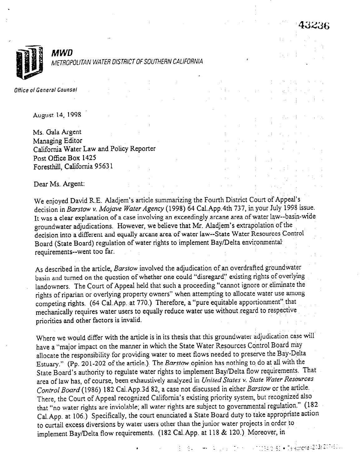

**MWD** METROPOLITAN WATER DISTRICT OF SOUTHERN CALIFORNIA

Office of General Counsel

August 14, 199s ",

 $\mathcal{L}$  is a set of the contract of the contract of the contract of the contract of the contract of the contract of the contract of the contract of the contract of the contract of the contract of the contract of the cont

Ms. Gala Argent Managing Editor Ms. Gala Argent<br>Managing Editor<br>California Water Law and Policy Reporter Post Office Box 1425 Post Office Box 1425<br>Foresthill, California 95631

Dear Ms. Argent:

We enjoyed David R.E. Aladjem's article summarizing the Fourth District Court of Appeal's decision in Barstow v. Mojave Water Agency (1998) 64 Cal.App.4th 737, in your July 1998 issue. It was a clear explanation of a case involving an exceedingly arcane area of water law--basin-wide groundwater adjudications. However, we believe that Mr. Aladjem's extrapolation of the decision into a different and equally arcane area of water law--State Water Resources Control Board (State Board) regulation of water rights to implement Bay/Delta environmental requirements--went too far.

 $\frac{1}{2} \int_{\Omega} \left( \frac{1}{2} \right) \, d \omega = 1$ 

and has been approved as a support of the with the state of the state of the state of

**Contract Contract** 

3 - 8일 - 아뉴 - 일 : 2월 - 정신 시 사진정보성 B3 • 79 Aprove (213) 217-61 . .

state of the state of the state

 $\mathcal{N}(\mathcal{L}_{\mathcal{A}}) = \mathcal{L}_{\mathcal{A}}(\mathcal{L}_{\mathcal{A}}) = \mathcal{L}_{\mathcal{A}}(\mathcal{L}_{\mathcal{A}}) = 0$ 

As described in the article, Barstow involved the adjudication of an overdrafted groundwater basin and turned on the question of whether one could "disregard" existing rights of overlying landowners. The Court of Appeal held that such a proceeding "cannot ignore or eliminate the rights of riparian or overlying property owners" when attempting to allocate water use among competing rights. (64 Cal.App. at 770.) Therefore, a "pure equitable apportionment" that mechanically requires water users to equally reduce water use without regard to respective priorities and other factors is invalid.

Where we would differ with the article is in its thesis that this groundwater adjudication case will have a "major impact on the manner in which the State Water Resources Control Board may allocate the responsibility for providing water to meet flows needed to preserve the Bay-Delta Estuary." (Pp. 201-202 of the article.) The Barstow opinion has nothing to do at all with the State Board's authority to regulate water rights to implement Bay/Delta flow requirements. That area of law has, of course, been exhaustively analyzed in United States v. State Water Resources Control Board (1986) 182 Cai.App.3d 82, a case not discussed in either Barstow or the article. There, the Court of Appeal recognized California's existing priority system, but recognized also that "no water rights are inviolable; all water rights are subject to governmental regulation" (182 Cal.App. at 106.) Specifically, the court enunciated a State Board duty to take appropriate action to curtail excess diversions by water users other than the junior water projects in order to implement Bay/Delta flow requirements. (182 Cal.App. at 118 & 120.) Moreover, in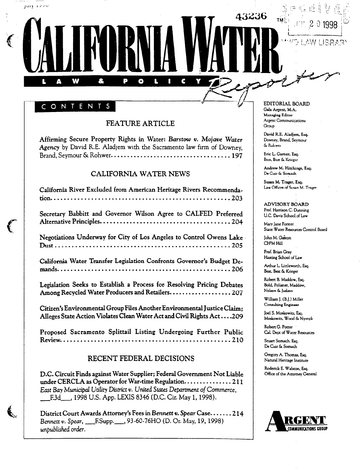#### CONTENT S

W

Δ

8

بالاندار وليبار

 $\mathbf f$ 

É.

#### FEATURE ARTICLE

 $\bullet$ 

C

Affirming Secure Property Rights in Water: Barstow v. Mojave Water Agency by David R.E. Aladjem with the Sacramento law firm of Downey, Brand, Seymour & Rohwer . . . . . . . . . . . . . . . . . . . . . . . . . . . . . . . . . . . . 197

#### CALIFORNIA WATER NEWS

| California River Excluded from American Heritage Rivers Recommenda-                                                                               |
|---------------------------------------------------------------------------------------------------------------------------------------------------|
| Secretary Babbitt and Governor Wilson Agree to CALFED Preferred                                                                                   |
| Negotiations Underway for City of Los Angeles to Control Owens Lake                                                                               |
| California Water Transfer Legislation Confronts Governor's Budget De-                                                                             |
| Legislation Seeks to Establish a Process for Resolving Pricing Debates<br>Among Recycled Water Producers and Retailers. 207                       |
| Citizen's Environmental Group Files Another Environmental Justice Claim:<br>Alleges State Action Violates Clean Water Act and Civil Rights Act209 |
| Proposed Sacramento Splittail Listing Undergoing Further Public                                                                                   |

#### RECENT FEDERAL DECISIONS

Review . . . . . . . . . . . . . . . . . . . . . . . . . . . . . . . . . . . . . . . . . . . . . . . . . . 210

D.C. Circuit Finds against Water Supplier; Federal Government Not Liable under CERCLA as Operator for War-time Regulation.. . . . . . . . . . . . . .2 11 East Bay Municipal Utility District v. United States Department of Commerce, F.3d\_\_, 1998 U.S. App. LEXIS 8346 (D.C. Cir. May 1, 1998).

District Court Awards Attorney's Fees in Bennett v. Spear Case. . . . . . .2 14 Bennett v. Spear, \_\_\_\_\_\_\_\_\_\_\_\_\_\_\_\_, 93-60-76HO (D. Or. May, 19, 1998) unpublished order.

EDITORIAL BOARD GaIa Argcnr. M.A. Managing Editor Argent Communications Group

43236

David RE. Aladjem. Esq. Damcy, Brand, Seymour & Rohwer

Eric L. Garner, Esq. Best, Best & Krieger

Andrew M. Hitchings. Esq. De Cuir & Somach

Susan M. Trager, Esq. Law Offices of Susan M. Trager

ADVISORY BOARD Prof. Harrison C. Dunning U.C. Davis School of Law

Mary Jane Forster State Water Resources Control Board

John M. Gaston CH\*M Hill

Prof. Brian Gray Hasting School of Law

Arthur L. Littleworth, Esq. Best, Best & Krieger

Robert 8. Maddow. Esq. Bold, Polisner, Maddow, Nelson & Judson

William J. (B.J.) Miller Consulting Engineer

Joel S. Moskowitz. Eq. Moskowitz, Wood & Nyznyk

Robert G. Potter Cal. Dept of Water Resources

Stuart Somach. Esq. De Cuir & Somach

Gregory A. Thomas. Esq. Natural Heritage Institute

Roderick E. WaIston. Es+  $\overline{\phantom{a}}$ 

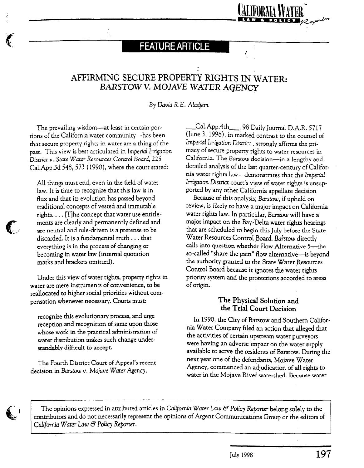## **FEATURE ARTICLE**

## AFFIRMING SECURE PROPERTY RIGHTS IN WATER: BARSTOW V. MOJAVE WATER AGENCY

By David R.E. Aladjem

The prevailing wisdom-at least in certain portions of the California water community-has been that secure property rights in water are a thing of the past. This view is best articulated in Imperial Irrigation District v. State Water Resources Control Board, 225 Cal.App.3d 548, 573 (1990), where the court stated:

All things must end, even in the field of water law. It is time to recognize that this law is in flux and that its evolution has passed beyond traditional concepts of vested and immutable rights.  $\dots$  [T]he concept that water use entitlements are clearly and permanently defined and are neutral and rule-driven is a pretense to be discarded. It is a fundamental truth. . . that everything is in the process of changing or becoming in water law (internal quotation marks and brackets omitted).

 $U_n$  is view of water rights, property rights, property rights, property rights in  $\mathcal{U}_n$ UNUEL UNS VICW OF WATER LIBRERS, Property rights water are mere instruments of convenience, to be pensation whenever necessary. Courts must:

recognize this evolutionary process, and urge recognize uns evolutionaly process, and urge reception and recognition of same upon those whose work in the practical administration of water distribution makes such change under-<br>standably difficult to accept.

The Fourth District Court of Appeal's recent decision in Barstow v. Mojave Water Agency,

Cal.App.4th\_\_\_, 98 Daily Journal D.A.R. 5717 (June 3, 1998), in marked contrast to the counsel of Imperial Irrigation District, strongly affirms the primacy of secure property rights to water resources in California. The Barstow decision-in a lengthy and detailed analysis of the last quarter-century of California water rights law-demonstrates that the Imperial Irrigation District court's view of water rights is unsup ported by any other California appellate decision

Because of this analysis, Barstow, if upheld on  $\frac{1}{2}$  review of the and  $\frac{1}{2}$  major  $\frac{1}{2}$  masses on  $\frac{1}{2}$  masses on  $\frac{1}{2}$  $\frac{1}{2}$  in the  $\frac{1}{2}$  contact a major impact on Canon water rights law. In particular, Barstow will have a major impact on the Bay-Delta water rights hearings that are scheduled to begin this July before the State Water Resources Control Board. Barstow directly calls into question whether Flow Alternative 5-the so-called "share the pain" flow alternative-is beyond the authority granted to the State Water Resources Control Board because it ignores the water rights priority system and the protections accorded to areas<br>of origin.

#### The Physical Solution and the Thysical Solution a In 1990, the City of Barstow and Southern Califor-

In 1990, the City of Barstow and Southern California Water Company filed an action that alleged that the activities of certain upstream water purveyors were having an adverse impact on the water supply available to serve the residents of Barstow. During the next year one of the defendants, Mojave Water Agency, commenced an adjudication of all rights to water in the Mojave River watershed. Because water



 $\bigodot$ 

.

The opinions expressed in attributed articles in California Water Law & Policy Reporter belong solely to the contributors and do not necessarily represent the opinions of Argent Communications Group or the editors of California Water Law & Policy Reporter.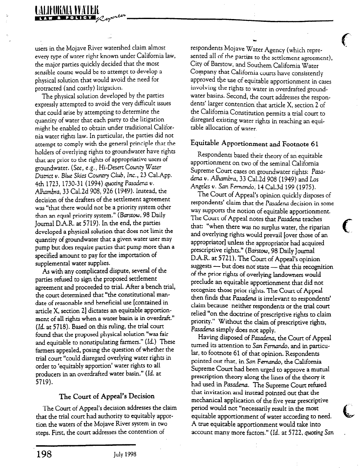# EIFHKNIA YYATEK

users in the Mojave River watershed claim almost every type of water right known under California law, the major parties quickly decided that the most sensible course would be to attempt to develop a physical solution that would avoid the need for protracted (and costly) litigation.

.-

The physical solution developed by the parties expressly attempted to avoid the very difficult issues that could arise by attempting to determine the quantity of water that each party to the litigation might be enabled to obtain under traditional California water rights law. In particular, the parties did not attempt to comply with the general principle that the holders of overlying rights to groundwater have rights that are prior to the rights of appropriative users of groundwater. (See, e.g., Hi-Desert County Water District v. Blue Skies Country Club, Inc., 23 Cal.App. 4th 1723, 1730-31 (1994) quoting Pasadena v. Alhambra, 33 Cal.2d 908, 926 (1949). Instead, the decision of the drafters of the settlement agreement was "that there would not be a priority system other than an equal priority system." (Barstow, 98 Daily Journal D.A.R. at 5719). In the end, the parties developed a physical solution that does not limit the quantity of groundwater that a given water user may pump but does require parties that pump more than a  $s_{\text{c}}$  is the importance of the importance of  $s_{\text{c}}$ spectrica amount to pay for

As with any complicated dispute, several of the parties refused co sign the proposed settlement parties released to sign are proposed securities. agreement and procedure to that Their a before the die coult determined that the constitutional man date of reasonable and beneficial use fedication in article X, section 2] dictates an equitable apportionment of all rights when a water basin is in overdraft."  $Id.$  at 5718). Based on this ruling, the trial court found that the proposed physical solution "was fair and equitable to nonstipulating farmers." (Id.) These farmers appealed, posing the question of whether the trial court "could disregard overlying water rights in order to 'equitably apportion' water rights to all producers in an overdrafted water basin." (Id. at 5719).

## $T_{\rm max}$  comes of  $A_{\rm max}$  decision addresses the claims

The Court of Appeal's decision addresses the claim that the trial court had authority to equitably apportion the waters of the Mojave River system in two steps. First, the court addresses the contention of

respondents Mojave Water Agency (which represented all of the parties to the settlement agreement), City of Barstow, and Southern California Water Company that California courts have consistently approved the use of equitable apportionment in cases involving the rights to water in overdrafted groundwater basins. Second, the court addresses the respondents' larger contention' that article X, section 2 of the California Constitution permits a trial court to disregard existing water rights in reaching an equitable allocation of water.

f  $-$ 

### Equitable Apportionment and Footnote 61

Respondents based their theory of an equitable apportionment on two of the seminal California Supreme Court cases on groundwater rights: Pasadena  $v$ . Alhambra, 33 Cal.2d 908 (1949) and Los Angeles v. San Fernando, 14 Cal.3d 199 (1975).

The Court of Appeal's opinion quickly disposes of respondents' claim that the Pasadena decision in some way supports the notion of equitable apportionment.  $T_{\text{t}}$   $\sigma$   $\epsilon$   $\epsilon$   $\epsilon$   $\epsilon$  and  $\epsilon$  that  $T_{\text{t}}$  appointment the source repeat notes that I assure the racines that: "when there was no surplus water, the riparian and overlying rights would prevail [over those of an appropriator] unless the appropriator had acquired prescriptive rights." (Barstow, 98 Daily Journal D.A.R. at 5721). The Court of Appeal's opinion suggests - but does not state - that this recognition of the prior rights of overlying landowners would preclude an equitable apportionment that did not recognize those prior rights. The Court of Appeal then finds that Pasadena is irrelevant to respondents' claim because neither respondents or the trial court relied "on the doctrine of prescriptive rights to claim priority." Without the claim of prescriptive rights, Pasadena simply does not apply.

Having disposed of Pasadena, the Court of Appeal turned its attention to San Fernando, and in particular, to footnote 61 of that opinion. Respondents pointed out that, in San Fernando, the California Supreme Court had been urged to approve a mutual prescription theory along the lines of the theory it had used in Pasadena. The Supreme Court refused that invitation and instead pointed out that the mechanical application of the five year prescriptive period would not "necessarily result in the most equitable apportionment of water according to need. A true equitable apportionment would take into account many more factors." (Id. at 5722, quoting San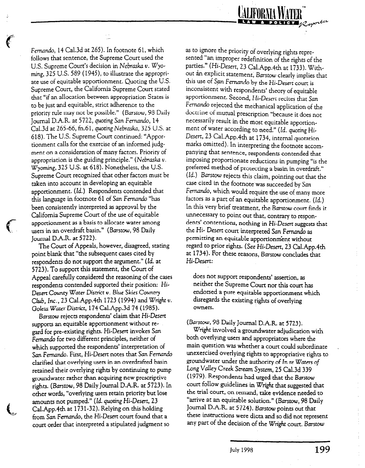

Fernando, 14 Cal.3d at 265). In footnote 61, which follows that sentence, the Supreme Court used the U.S. Supreme Court's decision in Nebraska v. Wyoming, 325 U.S. 589 (1945), to illustrate the appropriate use of equitable apportionment. Quoting the U.S. Supreme Court, the California Supreme Court stated that "if an allocation between appropriation States is to be just and equitable, strict adherence to the priority rule may not be possible." (Barstow, 98 Daily Journal D.A.R. at 5722, quoting San Fernando, 14 Cal.3d at 265-66, fn.61, quoting Nebraska, 325 U.S. at 618). The U.S. Supreme Court continued: "Apportionment calls for the exercise of an informed judgment on a consideration of many factors. Priority of appropriation is the guiding principle." (Nebraska  $v$ . Wyoming, 325 U.S. at 618). Nonetheless, the U.S. Supreme Court recognized that other factors must be taken into account in developing an equitable apportionment. (Id.) Respondents contended that this language in footnote 61 of San Fernando "has been consistently interpreted as approval by the California Supreme Court of the use of equitable apportionment as a basis to allocate water among users in an overdraft basin." (Barstow, 98 Daily Journal D.A.R. at 5722).

The Court of Appeals, however, disagreed, stating point blank that "the subsequent cases cited by respondents do not support the argument." (Id. at 5723). To support this statement, the Court of Appeal carefully considered the reasoning of the cases respondents contended supported their position: Hi-Desert County Water District v. Blue Skies Country Club, Inc., 23 Cal.App.4th 1723 (1994) and Wright  $v$ . Goleta Water District, 174 Cal.App.3d 74 (1985).

f-

t-

Barstow rejects respondents' claim that Hi-Desert supports an equitable apportionment without regard for pre-existing rights. Hi-Desert invokes Sun Fernando for two different principles, neither of which supported the respondents' interpretation of San Fernando. First, Hi-Desert notes that San Fernando clarified that overlying users in an overdrafted basin retained their overlying rights by continuing to pump groundwater rather than acquiring new prescriptive rights. (Barstow, 98 Daily Journal D.A.R. at 5723). In other words, "overlying users retain priority but lose amounts not pumped." (Id. quoting Hi-Desert, 23 Cal.App.4th at 1731-32). Relying on this holding from San Fernando, the Hi-Desert court found that a court order that interpreted a stipulated judgment so

as to ignore the priority of overlying rights repre-<br>conted "an increas sented "an improper redefinition of the rights of the parties." (Hi-Desert, 23 Cal.App.4th at 1733). Without an explicit statement, Barstow clearly implies that this use of San Fernando by the Hi-Desert court is inconsistent with respondents' theory of equitable apportionment. Second, Hi-Desert recites that San Fernando rejected the mechanical application of the doctrine of mutual prescription "because it does not necessarily result in the most equitable apportionment of water according to need." (Id. quoting Hi-Desert, 23 Cal.App.4th at 1734, internal quotation marks omitted). In interpreting the foomote accompanying that sentence, respondents contended that imposing proportionate reductions in pumping "is the preferred method of protecting a basin in overdraft." (Id.) Barstow rejects this claim, pointing out that the case cited in the footnote was succeeded by San Fernando, which would require the use of many more factors as a part of an equitable apportionment. (Id.) In this very brief treatment, the, Barstow court finds it unnecessary to point out that, contrary to respondents' contentions, nothing in Hi-Desert suggests that the Hi- Desert court interpreted San Fernando as permitting an equitable apportionm'ent without regard to prior rights. (See Hi-Desert, 23 Cal.App.4th at 1734). For these reasons, Barstow concludes that Hi-Desert:

does not support respondents' assertion, as neither the Supreme Court nor this court has endorsed a pure equitable apportionment which disregards the existing rights of overlying owners.

(Barstow, 98 Daily Journal D.A.R. at 5723).

Wright involved a groundwater adjudication with both overlying users and appropriators where the main question was whether a court could subordinate . unexercised overlying rights to appropriative rights to groundwater under the authority of In re Waters of Long Valley Creek Srream System, 25 Cal.3d 339 (1979). Respondents had urged that the Barstow court follow guidelines in Wright that suggested that the trial court, on remand, take evidence needed to "arrive at an equitable solution." (Barstow, 98 Daily Journal D.A.R. at 5724). Barstow points out that these instructions were dicta and so did not represent any part of the decision of the Wright court. Barstow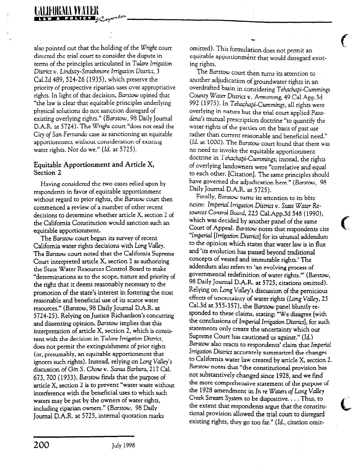also pointed out that the holding of the Wright court directed the trial court to consider the dispute in terms of the principles articulated in Tulare Irrigation District v. Lindsay-Strathmore Irrigation District, 3 Cal.Zd 489,524-26 (1935), which preserve the priority of prospective riparian uses over appropriative rights. In light of that decision, Barsrow opined that "the law is clear that equitable principles underlying physical solutions do not sanction disregard of existing overlying rights." (Barstow, 98 Daily Journal D.A.R. at 5724). The Wright court "does not read the City of San Fernando case as sanctioning an equitable apportionment without consideration of existing water rights. Nor do we." (Id. at 5725).

#### Equitable Apportionment and Article X, Section 2

Having considered the two cazes relied upon by respondents in favor of equitable apportionment without regard to prior rights, the Barstow court then commenced a review of a number of other recent decisions to determine whether article X, section 2 of the California Constitution would sanction such an equitable apportionment.

The Barstow court began its survey of recent California water rights decisions with Long Valley. The Barsrow court noted that the California Supreme Court interpreted article X, section 2 as authorizing the State Water Resources Control Board to make "determinations as to the scope, nature and priority of the right that it deems reasonably necessary to the promotion of the state's interest in fostering the most reasonable and beneficial use of its scarce water resources." (Barstow, 98 Daily Journal D.A.R. at 5724-25). Relying on Justice Richardson's concurring and dissenting opinion, Barstow implies that this interpretation of article X, section 2, which is consistent with the decision in Tulare Irrigation District. does not permit the extinguishment of prior rights (or, presumably, an equitable apportionment that ignores such rights). Instead, relying on Long Valley's discussion of Gin S. Chow v. Santa Barbara, 217 Cal. 673, 700 (1933), Barstow finds that the purpose of article X, section 2 is to prevent "water waste without interference with the beneficial uses to which such waters may be put by the owners of water rights, including riparian owners." (Barstow, 98 Daily Journal D.A.R. at 5725, internal quotation marks

omitted). This formulation does not permit an equitable apportionment that would disregard existing rights.

 $\mathbf{f}$ 

The Barsrow court then turns its attention to another adjudication of groundwater rights in an overdrafted basin in considering Tehachapi-Cummings County Water District v. Armstrong, 49 Cal.App.3d 992 (1975). In Tehachapi-Cummings, all rights were overlying in nature but the trial court applied Pasadena's mutual prescription doctrine "to quantify the water rights of the parties on the basis of past use rather than current reasonable and beneficial need." (Id. at 1000). The Barstow court found that there was no need to invoke the equitable apportionment doctrine in Tehachapi-Cummings; instead, the rights of overlying landowners were "correlative and equal to each other. [Citation]. The same principles should have governed the adjudication here." (Barstow, 98 Daily Journal D.A.R. at 5725).

Finally, Barstow turns its attention to its bête noire: Imperial Irrigation District v. State Water Resources Control Board, 225 Cal.App.3d 548 (1990), which was decided by another panel of the same Court of Appeal. Barstow notes that respondents cite "Imperial [Irrigation District] for its unusual addendum to the opinion which states that water law is in flux and 'its evolution has passed beyond traditional concepts of vested and immutable rights.' The addendum also refers to 'an evolving process of governmental redefinition of water rights."' (Barstow, 98 Daily Journal D.A.R. at 5725, citations omitted). Relying on Long Valley's discussion of the pernicious effects of uncertainty of water rights (Long Valley, 25 Cal.3d at 355-357), the Barstow panel bluntly responded to these claims, stating: "We disagree [with the conclusions of ImperiaI Irrigation District], for such statements only create the uncertainty which our Supreme Court has cautioned us against." (Id.) Barstow also reacts to respondents' claim that Imperial Irrigation District accurately summarized the changes to California water law created by article X, section 2. Barstow notes that "the constitutional provision has not substantively changed since 1928, and we find the more comprehensive statement of the purpose of the 1928 amendment in In re Waters of Long Valley Creek Stream System to be dispositive. . . . Thus, to the extent that respondents argue that the constitutional provision allowed the trial court to disregard existing rights, they go too far." (Id., citation omit-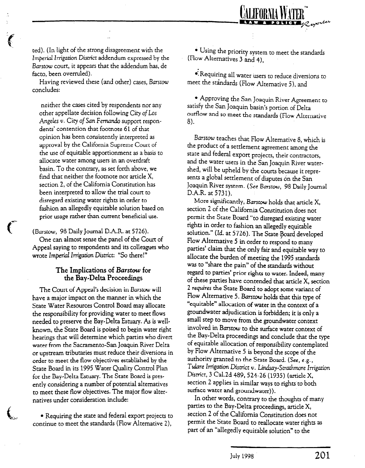

ted). (In light of the strong disagreement with the Imperial Irrigation District addendum expressed by the Barstow court, it appears that the addendum has, de facto, been overruled).

Having reviewed these (and other) cases, Barstow concludes:

neither the cases cited by respondents nor any other appellate decision following City of Los Angeles v. City of San Fernando support respondents' contention that foomote 61 of that opinion has been consistently interpreted as approval by the California Supreme Court of the use of equitable apportionment as a basis to allocate water among users in an overdraft basin. To the contrary, as set forth above, we find that neither the foomote nor article X, section 2, of the California Constitution has been interpreted to allow the trial court to disregard existing water rights in order to fashion an allegedly equitable solution based on prior usage rather than current beneficial use.

(Barstow, 98 Daily Journal D.A.R. at 5726). One can almost sense the panel of the Court of Appeal saying to respondents and its colleagues who wrote Imperial Irrigation District: "So there!"

#### The Implications of Barstow for the Bay-Delta Proceedings

 $\sim$  Court of Appealing in Barstow will be a set  $\sim$ have come or the manner in which the manner have a major impact on the manner in which the State Water Resources Control Board may allocate the responsibility for providing water to meet flows needed to preserve the Bay-Delta Estuary. As is wellknown, the State Board is poised to begin water right hearings that will determine which parties who divert water from the Sacramento-San Joaquin River Delta or upstream tributaries must reduce their diversions in order to meet the flow objectives established by the State Board in its 1995 Water Quality Control Plan for the Bay-Delta Estuary. The State Board is presently considering a number of potential alternatives. to meet these flow objectives. The major flow alter-<br>natives under consideration include:

• Requiring the state and federal export projects to continue to meet the standards (Flow Alternative 2),

 $\epsilon$  .

<sup>l</sup>Using the priority system to meet the standards (Flow Alternatives 3 and 4),

 $\bullet$ . Requiring all water users to reduce diversions to meet the standards (Flow Alternative 5), and

l Approving the San Joaquin River Agreement to satisfy the San Joaquin basin's portion of Delta outflow and so meet the standards (Flow Alternative 8).

Barstow teaches that Flow Alternative 8, which is the product of a settlement agreement among the state and federal export projects, their contractors, and the water users in the San Joaquin River watershed, will be upheld by the courts because it represents a global settlement of disputes on the San  $J_{\text{nonline}}$   $\mathbf{D}_{\text{nonline}}$   $\mathbf{C} = \mathbf{D} \times \mathbf{S} \times \mathbf{D} \times \mathbf{J} \times \mathbf{J}$  $D \wedge D = 5731$ 

D.A.R. at 5731).<br>More significantly, *Barstow* holds that article X, section 2 of the California Constitution does not permit the State Board "to disregard existing water rights in order to fashion an allegedly equitable solution." (Id. at 5726). The State of Australian developed by Equitable  $F = 41$ Flow Alternative 5 in order to respond to many parties' claim that the only fair and equitable way to allocate the burden of meeting the 1995 standards was to "share the pain" of the standards without regard to parties' prior rights to water. Indeed, many of these parties have contended that article X, section 2 requires the State Board to adopt some variant of Flow Alternative 5. Barstow holds that this type of "equitable" allocation of water in the context of a groundwater adjudication is forbidden; it is only a small step to move from the groundwater context involved in Barstow to the surface water context of the Bay-Delta proceedings and conclude that the type of equitable allocation of responsibility contemplated by Flow Alternative 5 is beyond the scope of the authority granted to the State Board. (See, e.g., Tulare Irrigation District v. Lindsay-Strathmore Irrigation District, 3 Cal.2d 489, 524-26 (1935) (article X, section 2 applies in similar ways to rights to both surface water and groundwater)).

In other words, contrary to the thoughts of many parties to the Bay-Delta proceedings, article X, section 2 of the California Constitution does not permit the State Board to reallocate water rights as part of an "allegedly equitable solution" to the

July 1998 201